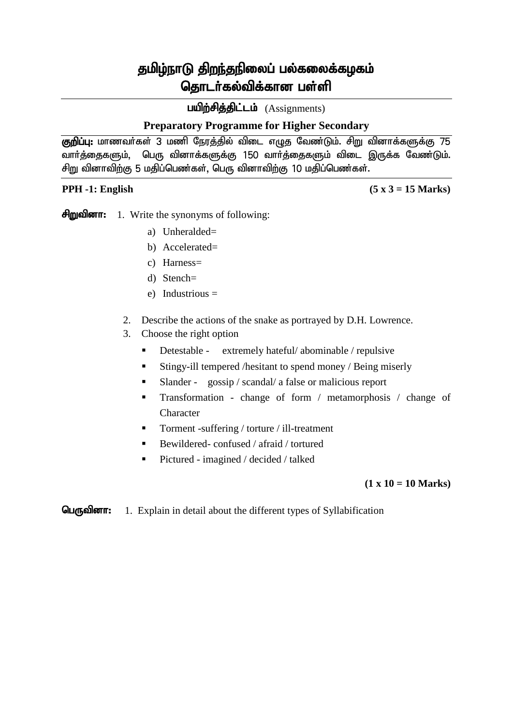பயிற்சித்திட்டம் (Assignments)

## **Preparatory Programme for Higher Secondary**

<mark>குறிப்பு:</mark> மாணவர்கள் 3 மணி நேரத்தில் விடை எழுத வேண்டும். சிறு வினாக்களுக்கு 75 வார்த்தைகளும், பெரு வினாக்களுக்கு 150 வார்த்தைகளும் விடை இருக்க வேண்டும். சிறு வினாவிற்கு 5 மதிப்பெண்கள், பெரு வினாவிற்கு 10 மதிப்பெண்கள்.

**PPH -1: English (5 x 3 = 15 Marks)**

சிறுவினா: 1. Write the synonyms of following:

- a) Unheralded=
- b) Accelerated=
- c) Harness=
- d) Stench=
- e) Industrious =
- 2. Describe the actions of the snake as portrayed by D.H. Lowrence.
- 3. Choose the right option
	- Detestable extremely hateful/ abominable / repulsive
	- Stingy-ill tempered /hesitant to spend money / Being miserly
	- Slander gossip / scandal/ a false or malicious report
	- Transformation change of form / metamorphosis / change of Character
	- Torment -suffering / torture / ill-treatment
	- Bewildered- confused / afraid / tortured
	- Pictured imagined / decided / talked

### **(1 x 10 = 10 Marks)**

**GLATE:** 1. Explain in detail about the different types of Syllabification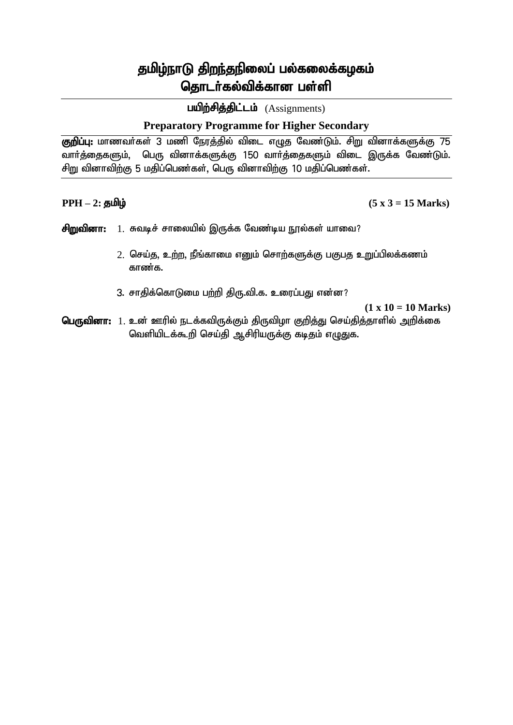பயிற்சித்திட்டம் (Assignments)

## **Preparatory Programme for Higher Secondary**

<mark>குறிப்பு:</mark> மாணவர்கள் 3 மணி நேரத்தில் விடை எழுத வேண்டும். சிறு வினாக்களுக்கு 75 வார்த்தைகளும், பெரு வினாக்களுக்கு 150 வார்த்தைகளும் விடை இருக்க வேண்டும். சிறு வினாவிற்கு 5 மதிப்பெண்கள், பெரு வினாவிற்கு 10 மதிப்பெண்கள்.

 $PPH - 2$ : தமிழ் (5 x 3 = 15 Marks)

- சிறுவினா: 1. சுவடிச் சாலையில் இருக்க வேண்டிய நூல்கள் யாவை?
	- $2.$  செய்து, உற்ற, நீங்காமை எனும் சொற்களுக்கு பகுபத உறுப்பிலக்கணம் காண்க.
	- 3. சாதிக்கொடுமை பற்றி திரு.வி.க. உரைப்பது என்ன?

**(1 x 10 = 10 Marks)**

பெருவினா: 1. உன் ஊரில் நடக்கவிருக்கும் திருவிழா குறித்து செய்தித்தாளில் அறிக்கை வெளியிடக்கூறி செய்தி ஆசிரியருக்கு கடிதம் எழுதுக.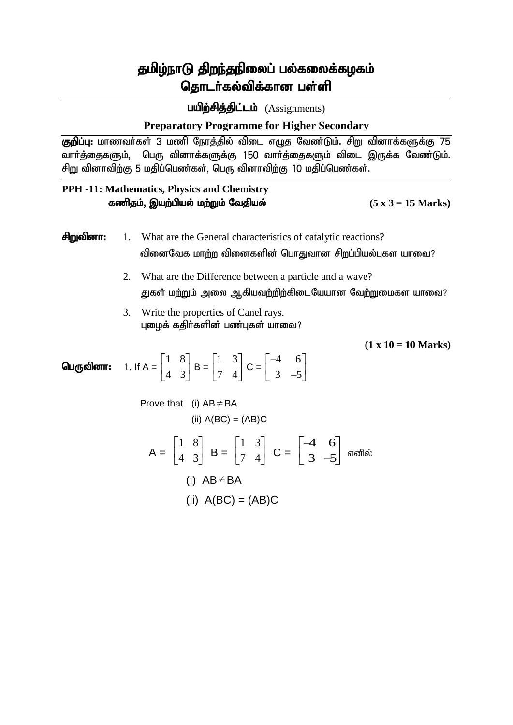பயிற்சித்திட்டம் (Assignments)

## **Preparatory Programme for Higher Secondary**

<mark>குறிப்பு:</mark> மாணவர்கள் 3 மணி நேரத்தில் விடை எழுத வேண்டும். சிறு வினாக்களுக்கு 75 வார்த்தைகளும், பெரு வினாக்களுக்கு 150 வார்த்தைகளும் விடை இருக்க வேண்டும். சிறு வினாவிற்கு 5 மதிப்பெண்கள், பெரு வினாவிற்கு 10 மதிப்பெண்கள்.

### **PPH -11: Mathematics, Physics and Chemistry** fzpjk;> ,aw;gpay; kw;Wk; Ntjpay; **(5 x 3 = 15 Marks)**

rpWtpdh: 1. What are the General characteristics of catalytic reactions? tpidNtf khw;w tpidfspd; nghJthd rpwg;gpay;Gfs ahit?

- 2. What are the Difference between a particle and a wave? துகள் மற்றும் அலை ஆகியவற்றிற்கிடையேயான வேற்றுமைகள யாவை?
- 3. Write the properties of Canel rays. புழைக் கதிர்களின் பண்புகள் யாவை?

**(1 x 10 = 10 Marks)**

பெருவினா: 1 8  $\begin{bmatrix} 1 & 8 \\ 4 & 3 \end{bmatrix}$  $B =$ 1 3  $\begin{bmatrix} 1 & 3 \\ 7 & 4 \end{bmatrix}$  $C =$ 4 6  $3 - 5$  $\begin{bmatrix} -4 & 6 \end{bmatrix}$  $\begin{bmatrix} 3 & -5 \end{bmatrix}$ 

Prove that (i)  $AB \neq BA$ (ii)  $A(BC) = (AB)C$  $A =$  $\begin{aligned}\n\text{the } \text{Lufference between a particle and a wave?} \\
\text{the } \text{Difference between a particle and a wave?} \\
\text{the } \text{Difference between a particle and a wave?} \\
\text{the } \text{Prop}(A) \text{ is given by } \text{Diff}(A) \text{ and } \text{Diff}(A) \text{ is given by } \text{Diff}(A) \text{ and } \text{Diff}(A) \text{ is given by } \text{Diff}(A) \text{ and } \text{Diff}(A) \text{ is given by } \text{Diff}(A) \text{ and } \text{Diff}(A) \text{ is given by } \text{Diff}(A) \text{ and } \text{Diff}(A) \text{ is given by } \text{Diff$ the Difference between a particle and a wave?<br>
biggin அலை ஆகியவற்றிற்கிடையேயான வேற்றுமைகள யா<br>
properties of Canel rays.<br>
திர்களின் பண்புகள் யாவை?<br>
(1 x 10 = 10 M<br>
3 B =  $\begin{bmatrix} 1 & 3 \\ 7 & 4 \end{bmatrix}$  C =  $\begin{bmatrix} -4 & 6 \\ 3 & -5 \end{$ ்வக மாற்ற வினைகளின் பொதுவான சிறப்பியல்புகள யாவை?<br>
e the Difference between a particle and a wave?<br>
ற்றும் அலை ஆகியவற்றிற்கிடையேயான வேற்றுமைகள யானை<br>
e properties of Canel rays.<br>
கதிர்களின் பண்புகள் யாவை?<br>
3  $B = \begin{bmatrix} 1 & 3$  $B = \begin{bmatrix} 7 & 1 \end{bmatrix}$   $C = \begin{bmatrix} 3 & 5 \end{bmatrix}$  எனில் னகளின் பொதுவான சிறப்பியல்புகள யாவை?<br>between a particle and a wave?<br>,கியவற்றிற்கிடையேயான வேற்றுமைகள யாவை?<br>Canel rays.<br>(and rays.<br> $\begin{bmatrix} 1 & 3 \ 3 & -5 \end{bmatrix}$  (1 x 10 = 10 Marks)<br>(AB)C<br> $\begin{bmatrix} 1 & 3 \ 7 & 4 \end{bmatrix}$  C =  $\begin{bmatrix} -4 &$  $c_1$ , between a particle and a wave?<br>  $c_2$ , between a particle and a wave?<br>
Canel rays.<br>  $c_1$  and rays.<br>  $\begin{bmatrix}\nC &= \begin{bmatrix}\n-4 & 6 \\
3 & -5\n\end{bmatrix} \\
C &= \begin{bmatrix}\n-4 & 6 \\
3 & -5\n\end{bmatrix}$ <br>
(AB)C<br>  $\begin{bmatrix}\n1 & 3 \\
7 & 4\n\end{bmatrix}$   $C = \begin{bmatrix}\n-4 & 6 \\$ னைகளின் பொதுவான சிறப்பியல்புகள யாவை?<br>e between a particle and a wave?<br>யூகியவற்றிற்கிடையேயான வேற்றுமைகள யாவை?<br>Canel rays.<br>oriபுகள் யாவை?<br>apple of any and the set of any set of any set of any set of any set of any set of a  $(5 \times 3 = 15 \text{ Marks})$ <br>atalytic reactions?<br>annon சிறப்பியல்புகள யாவை?<br>cle and a wave?<br> $\text{Gtuunrion}$  Capignonial common?<br> $(1 \times 10 = 10 \text{ Marks})$ <br> $(1 \times 10 = 10 \text{ Marks})$ <br> $\rightarrow$  5  $(5 \times 3 = 15 \text{ Marks})$ <br>
catalytic reactions?<br>
calmost ending and a wave?<br>
common componed and a wave?<br>
common componed and a wave?<br>  $(1 \times 10 = 10 \text{ Marks})$ <br>  $(1 \times 10 = 10 \text{ Marks})$ <br>  $3 -5$ <br>
similarly commonly  $(5 \times 3 = 15 \text{ Marks})$ <br>f catalytic reactions?<br>துவான சிறப்பியல்புகள யாவை?<br>nu கேயயான வேற்றுமைகள யாவை?<br>?<br>(1 x 10 = 10 Marks)<br> $\begin{bmatrix} 5 \\ 5 \\ 3 & -5 \end{bmatrix}$  எனில் (i)  $AB \neq BA$  $\neq$  BA (ii)  $A(BC) = (AB)C$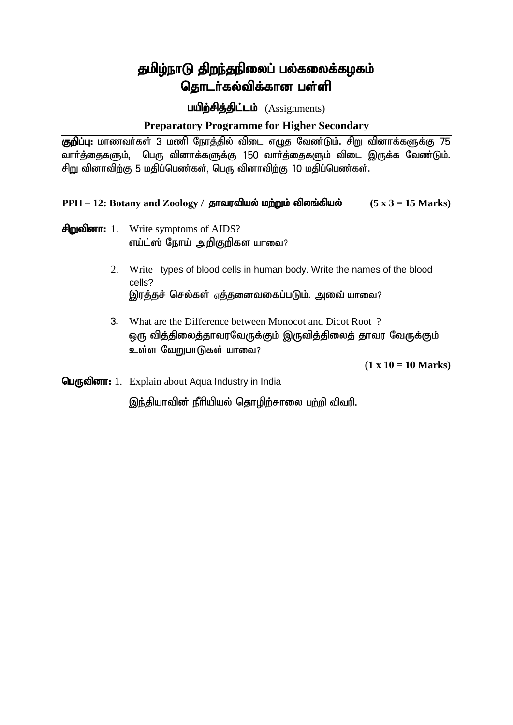பயிற்சித்திட்டம் (Assignments)

## **Preparatory Programme for Higher Secondary**

் குறிப்பு: மாணவர்கள் 3 மணி நேரத்தில் விடை எழுத வேண்டும். சிறு வினாக்களுக்கு 75 வார்த்தைகளும், பெரு வினாக்களுக்கு 150 வார்த்தைகளும் விடை இருக்க வேண்டும். சிறு வினாவிற்கு 5 மதிப்பெண்கள், பெரு வினாவிற்கு 10 மதிப்பெண்கள்.

 $PPH - 12$ : Botany and Zoology / தாவரவியல் மற்றும் விலங்கியல்  $(5 \times 3 = 15 \text{ Marks})$ 

- $\theta$ mgalor $\pi$ : 1. Write symptoms of AIDS? எய்ட்ஸ் நோய் அறிகுறிகள யாவை?
	- 2. Write types of blood cells in human body. Write the names of the blood cells? இரத்தச் செல்கள் <sub>எ</sub>த்தனைவகைப்படும். அவை யாவை?
	- 3. What are the Difference between Monocot and Dicot Root ? ஒரு வித்திலைத்தாவரவேருக்கும் இருவித்திலைத் தாவர வேருக்கும் உள்ள வேறுபாடுகள் யாவை?

**(1 x 10 = 10 Marks)**

 $\mathbf{Q}$  $\mathbf{u}$   $\mathbf{m}$  allow  $\mathbf{m}$ : 1. Explain about Aqua Industry in India

இந்தியாவின் நீரியியல் தொழிற்சாலை பற்றி விவரி.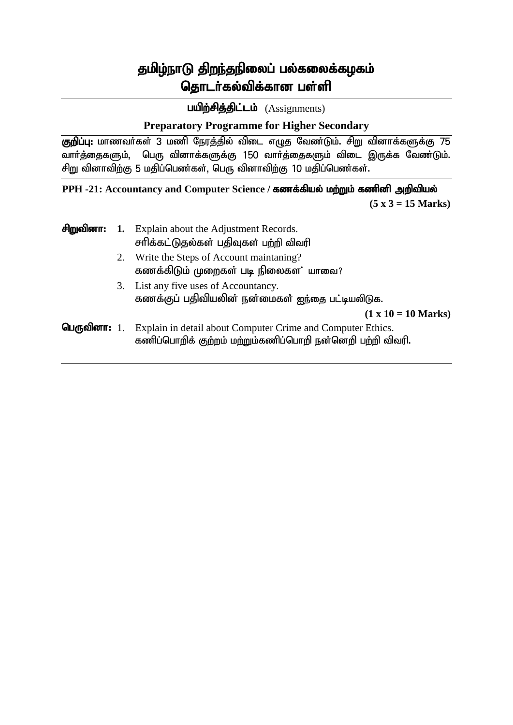பயிற்சித்திட்டம் (Assignments)

# **Preparatory Programme for Higher Secondary**

் குறிப்பு: மாணவர்கள் 3 மணி நேரத்தில் விடை எழுத வேண்டும். சிறு வினாக்களுக்கு 75 வார்த்தைகளும், பெரு வினாக்களுக்கு 150 வார்த்தைகளும் விடை இருக்க வேண்டும். சிறு வினாவிற்கு 5 மதிப்பெண்கள், பெரு வினாவிற்கு 10 மதிப்பெண்கள்.

## **PPH -21: Accountancy and Computer Science / கணக்கியல் மற்றும் கணினி அறிவியல்**

 **(5 x 3 = 15 Marks)**

|    | $\theta$ m alongstriangleright about the Adjustment Records.<br>சரிக்கட்டுதல்கள் பதிவுகள் பற்றி விவரி |
|----|-------------------------------------------------------------------------------------------------------|
| 2. | Write the Steps of Account maintaning?<br>கணக்கிடும் முறைகள் படி நிலைகள' யாவை?                        |
|    | 3. List any five uses of Accountancy.<br>கணக்குப் பதிவியலின் நன்மைகள் ஐந்தை பட்டியலிடுக.              |

**(1 x 10 = 10 Marks)**

ngUtpdh: 1. Explain in detail about Computer Crime and Computer Ethics. கணிப்பொறிக் குற்றம் மற்றும்கணிப்பொறி நன்னெறி பற்றி விவரி.